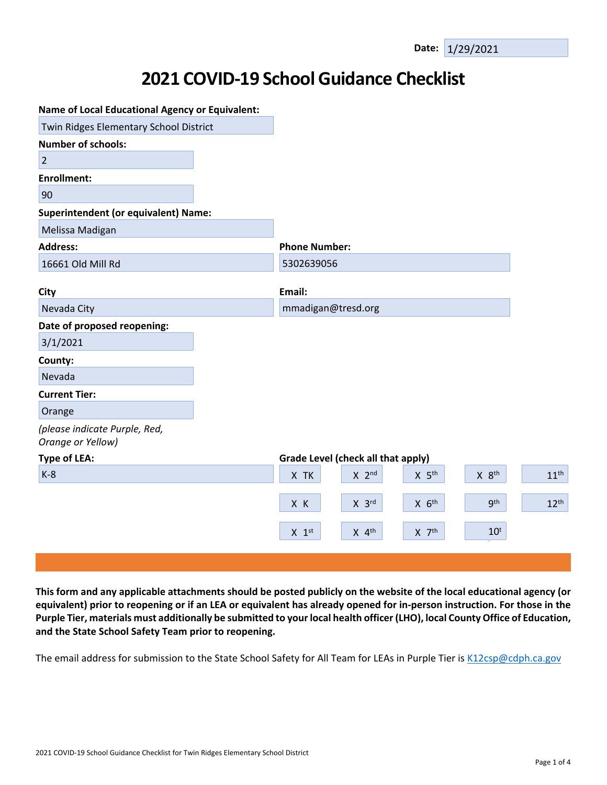## **2021 COVID-19 School Guidance Checklist**

| <b>Name of Local Educational Agency or Equivalent:</b> |                                    |                     |                   |                  |
|--------------------------------------------------------|------------------------------------|---------------------|-------------------|------------------|
| Twin Ridges Elementary School District                 |                                    |                     |                   |                  |
| <b>Number of schools:</b>                              |                                    |                     |                   |                  |
| $\overline{2}$                                         |                                    |                     |                   |                  |
| <b>Enrollment:</b>                                     |                                    |                     |                   |                  |
| 90                                                     |                                    |                     |                   |                  |
| <b>Superintendent (or equivalent) Name:</b>            |                                    |                     |                   |                  |
| Melissa Madigan                                        |                                    |                     |                   |                  |
| <b>Address:</b>                                        | <b>Phone Number:</b>               |                     |                   |                  |
| 16661 Old Mill Rd                                      | 5302639056                         |                     |                   |                  |
|                                                        |                                    |                     |                   |                  |
| <b>City</b>                                            | Email:                             |                     |                   |                  |
| Nevada City                                            | mmadigan@tresd.org                 |                     |                   |                  |
| Date of proposed reopening:                            |                                    |                     |                   |                  |
| 3/1/2021                                               |                                    |                     |                   |                  |
| County:                                                |                                    |                     |                   |                  |
| Nevada                                                 |                                    |                     |                   |                  |
| <b>Current Tier:</b>                                   |                                    |                     |                   |                  |
| Orange                                                 |                                    |                     |                   |                  |
| (please indicate Purple, Red,<br>Orange or Yellow)     |                                    |                     |                   |                  |
| <b>Type of LEA:</b>                                    | Grade Level (check all that apply) |                     |                   |                  |
| $K-8$                                                  | X TK<br>$X$ 2 <sup>nd</sup>        | $X$ 5 <sup>th</sup> | X 8 <sup>th</sup> | 11 <sup>th</sup> |
|                                                        | X K<br>$X$ $3^{\text{rd}}$         | $X$ $6th$           | <b>gth</b>        | 12 <sup>th</sup> |
|                                                        |                                    |                     |                   |                  |
|                                                        | $X$ 4 <sup>th</sup><br>$X$ 1st     | $X$ $7th$           | $10^t$            |                  |
|                                                        |                                    |                     |                   |                  |

This form and any applicable attachments should be posted publicly on the website of the local educational agency (or equivalent) prior to reopening or if an LEA or equivalent has already opened for in-person instruction. For those in the Purple Tier, materials must additionally be submitted to your local health officer (LHO), local County Office of Education, **and the State School Safety Team prior to reopening.**

The email address for submission to the State School Safety for All Team for LEAs in Purple Tier is [K12csp@cdph.ca.gov](mailto:K12csp@cdph.ca.gov)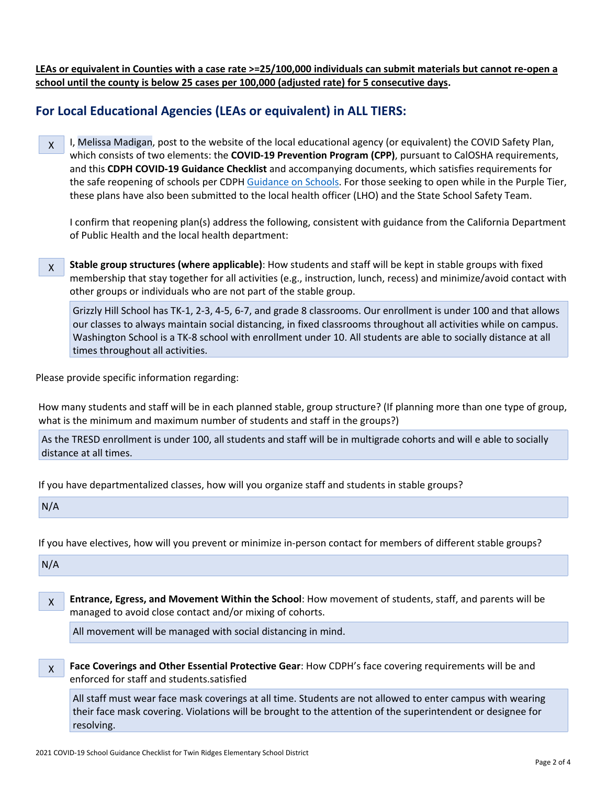LEAs or equivalent in Counties with a case rate >=25/100,000 individuals can submit materials but cannot re-open a **school until the county is below 25 cases per 100,000 (adjusted rate) for 5 consecutive days.**

## **For Local Educational Agencies (LEAs or equivalent) in ALL TIERS:**

X I, Melissa Madigan, post to the website of the local educational agency (or equivalent) the COVID Safety Plan, which consists of two elements: the **COVID-19 Prevention Program (CPP)**, pursuant to CalOSHA requirements, and this **CDPH COVID-19 Guidance Checklist** and accompanying documents, which satisfies requirements for the safe reopening of schools per CDPH [Guidance](https://www.cdph.ca.gov/Programs/CID/DCDC/CDPH%20Document%20Library/COVID-19/Consolidated_Schools_Guidance.pdf) on Schools. For those seeking to open while in the Purple Tier, these plans have also been submitted to the local health officer (LHO) and the State School Safety Team.

I confirm that reopening plan(s) address the following, consistent with guidance from the California Department of Public Health and the local health department:

X **Stable group structures (where applicable)**: How students and staff will be kept in stable groups with fixed membership that stay together for all activities (e.g., instruction, lunch, recess) and minimize/avoid contact with other groups or individuals who are not part of the stable group.

Grizzly Hill School has TK-1, 2-3, 4-5, 6-7, and grade 8 classrooms. Our enrollment is under 100 and that allows our classes to always maintain social distancing, in fixed classrooms throughout all activities while on campus. Washington School is a TK-8 school with enrollment under 10. All students are able to socially distance at all times throughout all activities.

Please provide specific information regarding:

How many students and staff will be in each planned stable, group structure? (If planning more than one type of group, what is the minimum and maximum number of students and staff in the groups?)

As the TRESD enrollment is under 100, all students and staff will be in multigrade cohorts and will e able to socially distance at all times.

If you have departmentalized classes, how will you organize staff and students in stable groups?

 $N/A$ 

If you have electives, how will you prevent or minimize in-person contact for members of different stable groups?

 $N/A$ 

X **Entrance, Egress, and Movement Within the School**: How movement of students, staff, and parents will be managed to avoid close contact and/or mixing of cohorts.

All movement will be managed with social distancing in mind.

X **Face Coverings and Other Essential Protective Gear**: How CDPH's face covering requirements will be and enforced for staff and students.satisfied

All staff must wear face mask coverings at all time. Students are not allowed to enter campus with wearing their face mask covering. Violations will be brought to the attention of the superintendent or designee for resolving.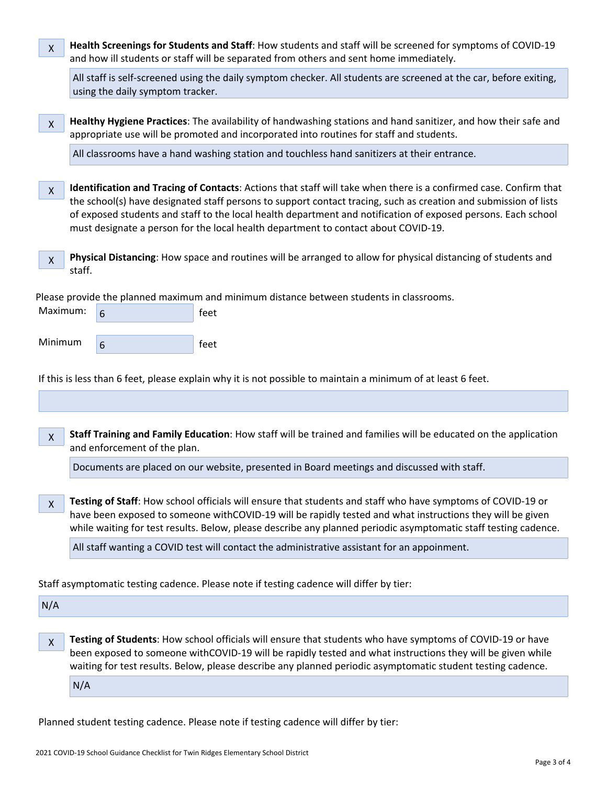| X              | Health Screenings for Students and Staff: How students and staff will be screened for symptoms of COVID-19<br>and how ill students or staff will be separated from others and sent home immediately. |                                  |                                                                                                                                                                                                                                                                                                                                                                                                                                              |  |  |
|----------------|------------------------------------------------------------------------------------------------------------------------------------------------------------------------------------------------------|----------------------------------|----------------------------------------------------------------------------------------------------------------------------------------------------------------------------------------------------------------------------------------------------------------------------------------------------------------------------------------------------------------------------------------------------------------------------------------------|--|--|
|                |                                                                                                                                                                                                      | using the daily symptom tracker. | All staff is self-screened using the daily symptom checker. All students are screened at the car, before exiting,                                                                                                                                                                                                                                                                                                                            |  |  |
| X              |                                                                                                                                                                                                      |                                  | Healthy Hygiene Practices: The availability of handwashing stations and hand sanitizer, and how their safe and<br>appropriate use will be promoted and incorporated into routines for staff and students.                                                                                                                                                                                                                                    |  |  |
|                |                                                                                                                                                                                                      |                                  | All classrooms have a hand washing station and touchless hand sanitizers at their entrance.                                                                                                                                                                                                                                                                                                                                                  |  |  |
| $\mathsf{X}^-$ |                                                                                                                                                                                                      |                                  | Identification and Tracing of Contacts: Actions that staff will take when there is a confirmed case. Confirm that<br>the school(s) have designated staff persons to support contact tracing, such as creation and submission of lists<br>of exposed students and staff to the local health department and notification of exposed persons. Each school<br>must designate a person for the local health department to contact about COVID-19. |  |  |
| X              | staff.                                                                                                                                                                                               |                                  | Physical Distancing: How space and routines will be arranged to allow for physical distancing of students and                                                                                                                                                                                                                                                                                                                                |  |  |
| Maximum:       |                                                                                                                                                                                                      | 6                                | Please provide the planned maximum and minimum distance between students in classrooms.<br>feet                                                                                                                                                                                                                                                                                                                                              |  |  |
| Minimum        |                                                                                                                                                                                                      |                                  |                                                                                                                                                                                                                                                                                                                                                                                                                                              |  |  |
|                |                                                                                                                                                                                                      | 6                                | feet                                                                                                                                                                                                                                                                                                                                                                                                                                         |  |  |
|                |                                                                                                                                                                                                      |                                  | If this is less than 6 feet, please explain why it is not possible to maintain a minimum of at least 6 feet.                                                                                                                                                                                                                                                                                                                                 |  |  |
|                |                                                                                                                                                                                                      |                                  |                                                                                                                                                                                                                                                                                                                                                                                                                                              |  |  |
| X              |                                                                                                                                                                                                      | and enforcement of the plan.     | Staff Training and Family Education: How staff will be trained and families will be educated on the application                                                                                                                                                                                                                                                                                                                              |  |  |
|                |                                                                                                                                                                                                      |                                  | Documents are placed on our website, presented in Board meetings and discussed with staff.                                                                                                                                                                                                                                                                                                                                                   |  |  |
| $\mathsf{X}$   |                                                                                                                                                                                                      |                                  | Testing of Staff: How school officials will ensure that students and staff who have symptoms of COVID-19 or<br>have been exposed to someone withCOVID-19 will be rapidly tested and what instructions they will be given<br>while waiting for test results. Below, please describe any planned periodic asymptomatic staff testing cadence.                                                                                                  |  |  |
|                |                                                                                                                                                                                                      |                                  | All staff wanting a COVID test will contact the administrative assistant for an appoinment.                                                                                                                                                                                                                                                                                                                                                  |  |  |
|                |                                                                                                                                                                                                      |                                  | Staff asymptomatic testing cadence. Please note if testing cadence will differ by tier:                                                                                                                                                                                                                                                                                                                                                      |  |  |
| N/A            |                                                                                                                                                                                                      |                                  |                                                                                                                                                                                                                                                                                                                                                                                                                                              |  |  |
| $\mathsf{X}^-$ |                                                                                                                                                                                                      |                                  | Testing of Students: How school officials will ensure that students who have symptoms of COVID-19 or have<br>been exposed to someone withCOVID-19 will be rapidly tested and what instructions they will be given while<br>waiting for test results. Below, please describe any planned periodic asymptomatic student testing cadence.                                                                                                       |  |  |

Planned student testing cadence. Please note if testing cadence will differ by tier: